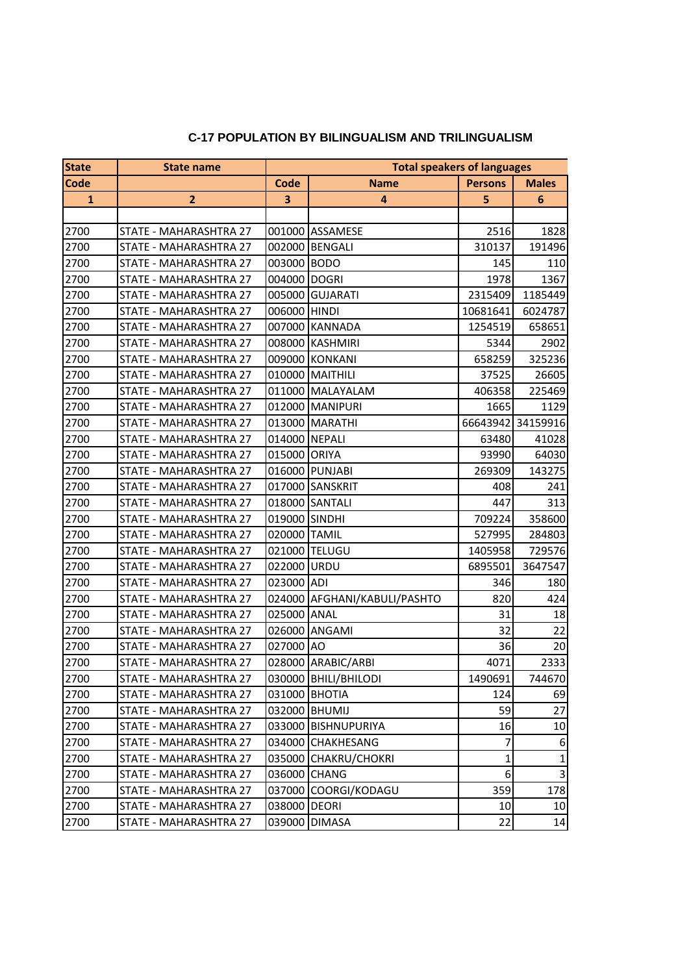## **C-17 POPULATION BY BILINGUALISM AND TRILINGUALISM**

| <b>State</b> | <b>State name</b>             | <b>Total speakers of languages</b> |                              |                |                |
|--------------|-------------------------------|------------------------------------|------------------------------|----------------|----------------|
| <b>Code</b>  |                               | Code                               | <b>Name</b>                  | <b>Persons</b> | <b>Males</b>   |
| $\mathbf{1}$ | $\overline{2}$                | 3                                  | 4                            | 5              | 6              |
|              |                               |                                    |                              |                |                |
| 2700         | STATE - MAHARASHTRA 27        |                                    | 001000 ASSAMESE              | 2516           | 1828           |
| 2700         | STATE - MAHARASHTRA 27        |                                    | 002000 BENGALI               | 310137         | 191496         |
| 2700         | STATE - MAHARASHTRA 27        | 003000 BODO                        |                              | 145            | 110            |
| 2700         | STATE - MAHARASHTRA 27        | 004000 DOGRI                       |                              | 1978           | 1367           |
| 2700         | STATE - MAHARASHTRA 27        |                                    | 005000 GUJARATI              | 2315409        | 1185449        |
| 2700         | STATE - MAHARASHTRA 27        | 006000 HINDI                       |                              | 10681641       | 6024787        |
| 2700         | STATE - MAHARASHTRA 27        |                                    | 007000 KANNADA               | 1254519        | 658651         |
| 2700         | STATE - MAHARASHTRA 27        |                                    | 008000 KASHMIRI              | 5344           | 2902           |
| 2700         | STATE - MAHARASHTRA 27        |                                    | 009000 KONKANI               | 658259         | 325236         |
| 2700         | STATE - MAHARASHTRA 27        |                                    | 010000 MAITHILI              | 37525          | 26605          |
| 2700         | STATE - MAHARASHTRA 27        |                                    | 011000 MALAYALAM             | 406358         | 225469         |
| 2700         | STATE - MAHARASHTRA 27        |                                    | 012000 MANIPURI              | 1665           | 1129           |
| 2700         | <b>STATE - MAHARASHTRA 27</b> |                                    | 013000 MARATHI               | 66643942       | 34159916       |
| 2700         | STATE - MAHARASHTRA 27        | 014000 NEPALI                      |                              | 63480          | 41028          |
| 2700         | STATE - MAHARASHTRA 27        | 015000 ORIYA                       |                              | 93990          | 64030          |
| 2700         | STATE - MAHARASHTRA 27        |                                    | 016000 PUNJABI               | 269309         | 143275         |
| 2700         | STATE - MAHARASHTRA 27        |                                    | 017000 SANSKRIT              | 408            | 241            |
| 2700         | STATE - MAHARASHTRA 27        |                                    | 018000 SANTALI               | 447            | 313            |
| 2700         | STATE - MAHARASHTRA 27        | 019000 SINDHI                      |                              | 709224         | 358600         |
| 2700         | STATE - MAHARASHTRA 27        | 020000 TAMIL                       |                              | 527995         | 284803         |
| 2700         | STATE - MAHARASHTRA 27        |                                    | 021000 TELUGU                | 1405958        | 729576         |
| 2700         | STATE - MAHARASHTRA 27        | 022000 URDU                        |                              | 6895501        | 3647547        |
| 2700         | STATE - MAHARASHTRA 27        | 023000 ADI                         |                              | 346            | 180            |
| 2700         | STATE - MAHARASHTRA 27        |                                    | 024000 AFGHANI/KABULI/PASHTO | 820            | 424            |
| 2700         | STATE - MAHARASHTRA 27        | 025000 ANAL                        |                              | 31             | 18             |
| 2700         | STATE - MAHARASHTRA 27        |                                    | 026000 ANGAMI                | 32             | 22             |
| 2700         | STATE - MAHARASHTRA 27        | 027000 AO                          |                              | 36             | 20             |
| 2700         | STATE - MAHARASHTRA 27        |                                    | 028000 ARABIC/ARBI           | 4071           | 2333           |
| 2700         | STATE - MAHARASHTRA 27        |                                    | 030000 BHILI/BHILODI         | 1490691        | 744670         |
| 2700         | STATE - MAHARASHTRA 27        |                                    | 031000 BHOTIA                | 124            | 69             |
| 2700         | STATE - MAHARASHTRA 27        |                                    | 032000 BHUMIJ                | 59             | 27             |
| 2700         | STATE - MAHARASHTRA 27        |                                    | 033000 BISHNUPURIYA          | 16             | 10             |
| 2700         | STATE - MAHARASHTRA 27        |                                    | 034000 CHAKHESANG            | 7              | 6              |
| 2700         | STATE - MAHARASHTRA 27        |                                    | 035000 CHAKRU/CHOKRI         | 1              | $\mathbf{1}$   |
| 2700         | STATE - MAHARASHTRA 27        |                                    | 036000 CHANG                 | 6              | $\overline{3}$ |
| 2700         | STATE - MAHARASHTRA 27        |                                    | 037000 COORGI/KODAGU         | 359            | 178            |
| 2700         | STATE - MAHARASHTRA 27        | 038000 DEORI                       |                              | 10             | 10             |
| 2700         | STATE - MAHARASHTRA 27        |                                    | 039000 DIMASA                | 22             | 14             |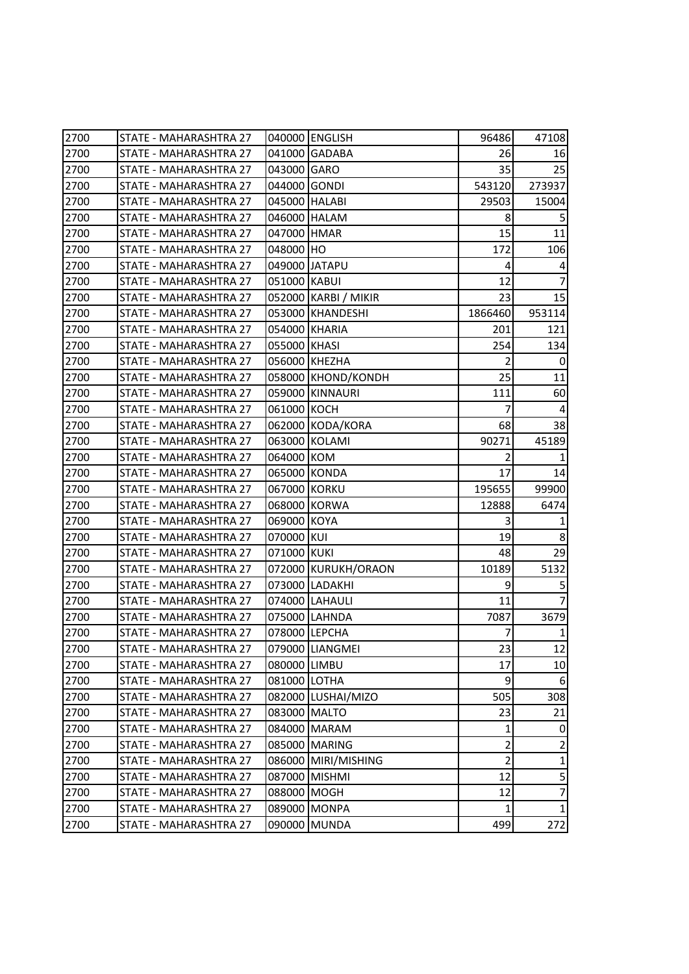| 2700 | STATE - MAHARASHTRA 27        |              | 040000 ENGLISH       | 96486          | 47108          |
|------|-------------------------------|--------------|----------------------|----------------|----------------|
| 2700 | STATE - MAHARASHTRA 27        |              | 041000 GADABA        | 26             | 16             |
| 2700 | STATE - MAHARASHTRA 27        | 043000 GARO  |                      | 35             | 25             |
| 2700 | STATE - MAHARASHTRA 27        | 044000 GONDI |                      | 543120         | 273937         |
| 2700 | STATE - MAHARASHTRA 27        |              | 045000 HALABI        | 29503          | 15004          |
| 2700 | STATE - MAHARASHTRA 27        |              | 046000 HALAM         | 8              | 5              |
| 2700 | STATE - MAHARASHTRA 27        | 047000 HMAR  |                      | 15             | 11             |
| 2700 | STATE - MAHARASHTRA 27        | 048000 HO    |                      | 172            | 106            |
| 2700 | <b>STATE - MAHARASHTRA 27</b> |              | 049000 JATAPU        | 4              | 4              |
| 2700 | STATE - MAHARASHTRA 27        | 051000 KABUI |                      | 12             |                |
| 2700 | STATE - MAHARASHTRA 27        |              | 052000 KARBI / MIKIR | 23             | 15             |
| 2700 | STATE - MAHARASHTRA 27        |              | 053000 KHANDESHI     | 1866460        | 953114         |
| 2700 | STATE - MAHARASHTRA 27        |              | 054000 KHARIA        | 201            | 121            |
| 2700 | STATE - MAHARASHTRA 27        | 055000 KHASI |                      | 254            | 134            |
| 2700 | STATE - MAHARASHTRA 27        |              | 056000 KHEZHA        | $\overline{2}$ | 0              |
| 2700 | STATE - MAHARASHTRA 27        |              | 058000 KHOND/KONDH   | 25             | 11             |
| 2700 | STATE - MAHARASHTRA 27        |              | 059000 KINNAURI      | 111            | 60             |
| 2700 | STATE - MAHARASHTRA 27        | 061000 KOCH  |                      | 7              | 4              |
| 2700 | STATE - MAHARASHTRA 27        |              | 062000 KODA/KORA     | 68             | 38             |
| 2700 | STATE - MAHARASHTRA 27        |              | 063000 KOLAMI        | 90271          | 45189          |
| 2700 | STATE - MAHARASHTRA 27        | 064000 KOM   |                      | $\overline{2}$ |                |
| 2700 | STATE - MAHARASHTRA 27        |              | 065000 KONDA         | 17             | 14             |
| 2700 | STATE - MAHARASHTRA 27        | 067000 KORKU |                      | 195655         | 99900          |
| 2700 | STATE - MAHARASHTRA 27        |              | 068000 KORWA         | 12888          | 6474           |
| 2700 | STATE - MAHARASHTRA 27        | 069000 KOYA  |                      | 3              |                |
| 2700 | STATE - MAHARASHTRA 27        | 070000 KUI   |                      | 19             | 8              |
| 2700 | STATE - MAHARASHTRA 27        | 071000 KUKI  |                      | 48             | 29             |
| 2700 | STATE - MAHARASHTRA 27        |              | 072000 KURUKH/ORAON  | 10189          | 5132           |
| 2700 | <b>STATE - MAHARASHTRA 27</b> |              | 073000 LADAKHI       | 9              | 5              |
| 2700 | STATE - MAHARASHTRA 27        |              | 074000 LAHAULI       | 11             |                |
| 2700 | STATE - MAHARASHTRA 27        |              | 075000 LAHNDA        | 7087           | 3679           |
| 2700 | STATE - MAHARASHTRA 27        |              | 078000 LEPCHA        | 7              | 1              |
| 2700 | STATE - MAHARASHTRA 27        |              | 079000 LIANGMEI      | 23             | 12             |
| 2700 | STATE - MAHARASHTRA 27        | 080000 LIMBU |                      | 17             | 10             |
| 2700 | STATE - MAHARASHTRA 27        | 081000 LOTHA |                      | 9              | 6              |
| 2700 | STATE - MAHARASHTRA 27        |              | 082000 LUSHAI/MIZO   | 505            | 308            |
| 2700 | STATE - MAHARASHTRA 27        |              | 083000 MALTO         | 23             | 21             |
| 2700 | STATE - MAHARASHTRA 27        |              | 084000 MARAM         | 1              | 0              |
| 2700 | STATE - MAHARASHTRA 27        |              | 085000 MARING        | $\overline{2}$ | $\overline{2}$ |
| 2700 | STATE - MAHARASHTRA 27        |              | 086000 MIRI/MISHING  | $\overline{2}$ | $\mathbf{1}$   |
| 2700 | STATE - MAHARASHTRA 27        |              | 087000 MISHMI        | 12             | 5              |
| 2700 | STATE - MAHARASHTRA 27        | 088000 MOGH  |                      | 12             | $\overline{7}$ |
| 2700 | STATE - MAHARASHTRA 27        |              | 089000 MONPA         | 1              | $\mathbf{1}$   |
| 2700 | STATE - MAHARASHTRA 27        |              | 090000 MUNDA         | 499            | 272            |
|      |                               |              |                      |                |                |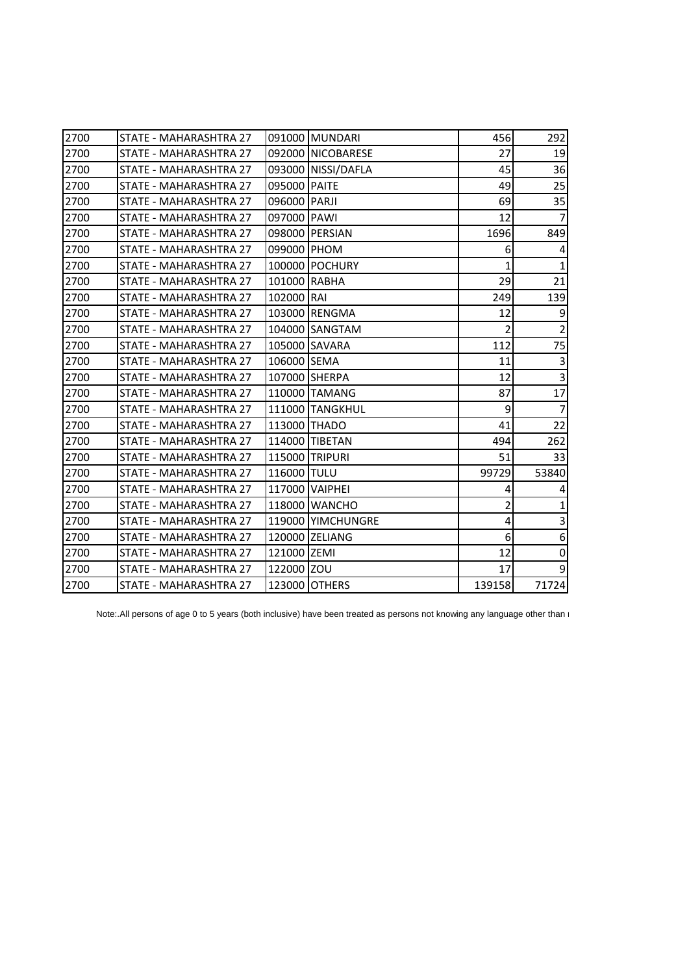| 2700 | STATE - MAHARASHTRA 27 |              | 091000 MUNDARI     | 456    | 292              |
|------|------------------------|--------------|--------------------|--------|------------------|
| 2700 | STATE - MAHARASHTRA 27 |              | 092000 NICOBARESE  | 27     | 19               |
| 2700 | STATE - MAHARASHTRA 27 |              | 093000 NISSI/DAFLA | 45     | 36               |
| 2700 | STATE - MAHARASHTRA 27 | 095000 PAITE |                    | 49     | 25               |
| 2700 | STATE - MAHARASHTRA 27 | 096000 PARJI |                    | 69     | 35               |
| 2700 | STATE - MAHARASHTRA 27 | 097000 PAWI  |                    | 12     | 7                |
| 2700 | STATE - MAHARASHTRA 27 |              | 098000 PERSIAN     | 1696   | 849              |
| 2700 | STATE - MAHARASHTRA 27 | 099000 PHOM  |                    | 6      | 4                |
| 2700 | STATE - MAHARASHTRA 27 |              | 100000 POCHURY     | 1      | $\mathbf{1}$     |
| 2700 | STATE - MAHARASHTRA 27 | 101000 RABHA |                    | 29     | 21               |
| 2700 | STATE - MAHARASHTRA 27 | 102000 RAI   |                    | 249    | 139              |
| 2700 | STATE - MAHARASHTRA 27 |              | 103000 RENGMA      | 12     | $\boldsymbol{9}$ |
| 2700 | STATE - MAHARASHTRA 27 |              | 104000 SANGTAM     | 2      | $\mathbf 2$      |
| 2700 | STATE - MAHARASHTRA 27 |              | 105000 SAVARA      | 112    | 75               |
| 2700 | STATE - MAHARASHTRA 27 | 106000 SEMA  |                    | 11     | $\overline{3}$   |
| 2700 | STATE - MAHARASHTRA 27 |              | 107000 SHERPA      | 12     | $\mathsf 3$      |
| 2700 | STATE - MAHARASHTRA 27 |              | 110000 TAMANG      | 87     | 17               |
| 2700 | STATE - MAHARASHTRA 27 |              | 111000 TANGKHUL    | 9      | $\overline{7}$   |
| 2700 | STATE - MAHARASHTRA 27 | 113000 THADO |                    | 41     | 22               |
| 2700 | STATE - MAHARASHTRA 27 |              | 114000 TIBETAN     | 494    | 262              |
| 2700 | STATE - MAHARASHTRA 27 |              | 115000 TRIPURI     | 51     | 33               |
| 2700 | STATE - MAHARASHTRA 27 | 116000 TULU  |                    | 99729  | 53840            |
| 2700 | STATE - MAHARASHTRA 27 |              | 117000 VAIPHEI     | 4      | 4                |
| 2700 | STATE - MAHARASHTRA 27 |              | 118000 WANCHO      | 2      | $\mathbf{1}$     |
| 2700 | STATE - MAHARASHTRA 27 |              | 119000 YIMCHUNGRE  | 4      | $\mathbf{3}$     |
| 2700 | STATE - MAHARASHTRA 27 |              | 120000 ZELIANG     | 6      | $\,6\,$          |
| 2700 | STATE - MAHARASHTRA 27 | 121000 ZEMI  |                    | 12     | $\pmb{0}$        |
| 2700 | STATE - MAHARASHTRA 27 | 122000 ZOU   |                    | 17     | $\boldsymbol{9}$ |
| 2700 | STATE - MAHARASHTRA 27 |              | 123000 OTHERS      | 139158 | 71724            |
|      |                        |              |                    |        |                  |

Note:.All persons of age 0 to 5 years (both inclusive) have been treated as persons not knowing any language other than i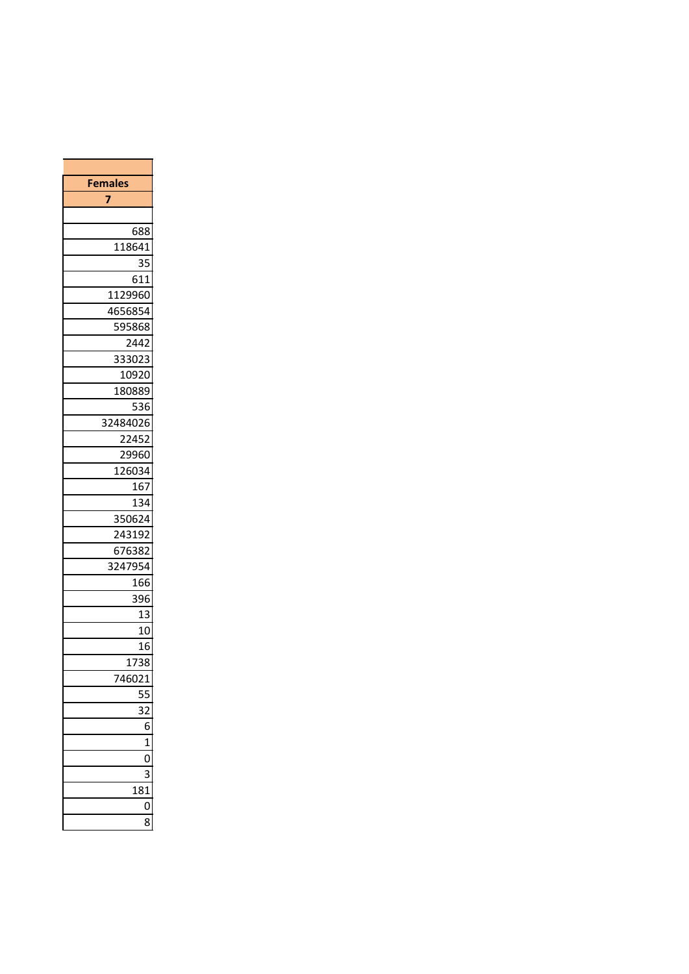| <b>Females</b> |                |
|----------------|----------------|
| 7              |                |
|                |                |
| 688            |                |
| 118641         |                |
|                | 35             |
| 611            |                |
| 1129960        |                |
| 4656854        |                |
| 595868         |                |
| 2442           |                |
| 333023         |                |
| 10920          |                |
| 180889         |                |
| 536            |                |
| 32484026       |                |
| 22452          |                |
| 29960          |                |
| _<br>126034    |                |
| 167            |                |
| 134            |                |
| 350624         |                |
| ——<br>243192   |                |
| 676382         |                |
| 3247954        |                |
| 166            |                |
| 396            |                |
|                | 13             |
|                | 10             |
|                | 16             |
| <u>1738</u>    |                |
| 746021         |                |
|                | 55             |
|                | 32             |
|                | 6              |
|                | $\overline{1}$ |
|                | O              |
|                | 3              |
| 181            |                |
|                | 0              |
|                | 8              |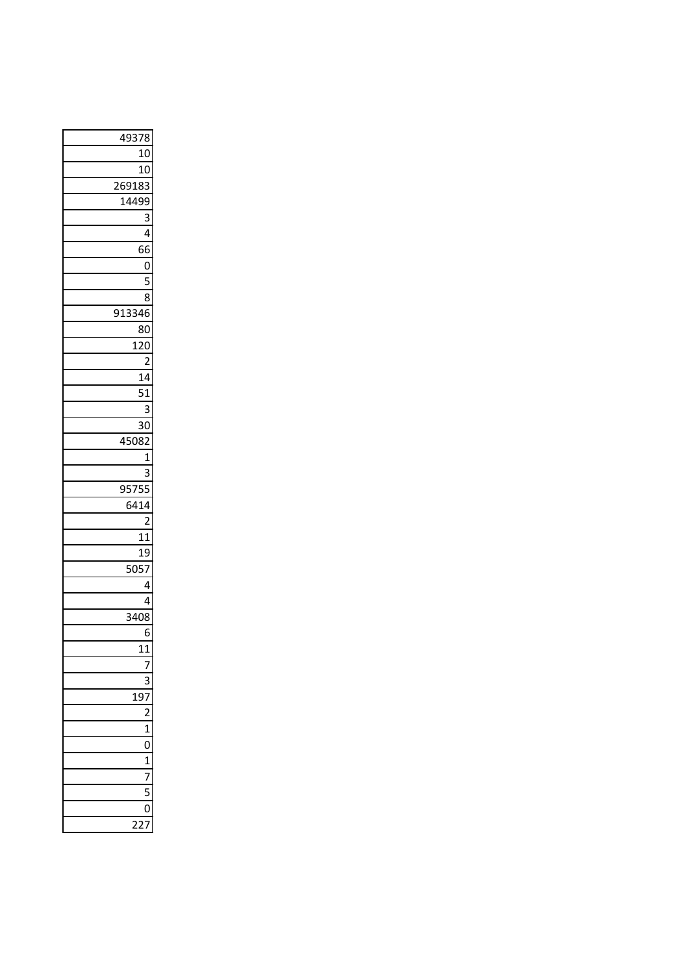| 49378          |
|----------------|
| 10             |
| 10             |
| _<br>269183    |
| 14499          |
| 3              |
| 4              |
| 66             |
| $\overline{0}$ |
| $\overline{5}$ |
| 8              |
| 913346         |
| 80             |
| 120            |
| $\overline{2}$ |
| 14             |
| 51             |
| 3              |
| 30             |
| 45082          |
| $\mathbf{1}$   |
| 3              |
| 95755          |
| 6414           |
| $\overline{2}$ |
| 11             |
| 19             |
| 5057           |
| 4              |
| 4              |
| 3408           |
| 6              |
|                |
|                |
|                |
| 197            |
|                |
| $\mathbf{1}$   |
| O              |
| 1              |
| 7              |
| C              |
| 0              |
|                |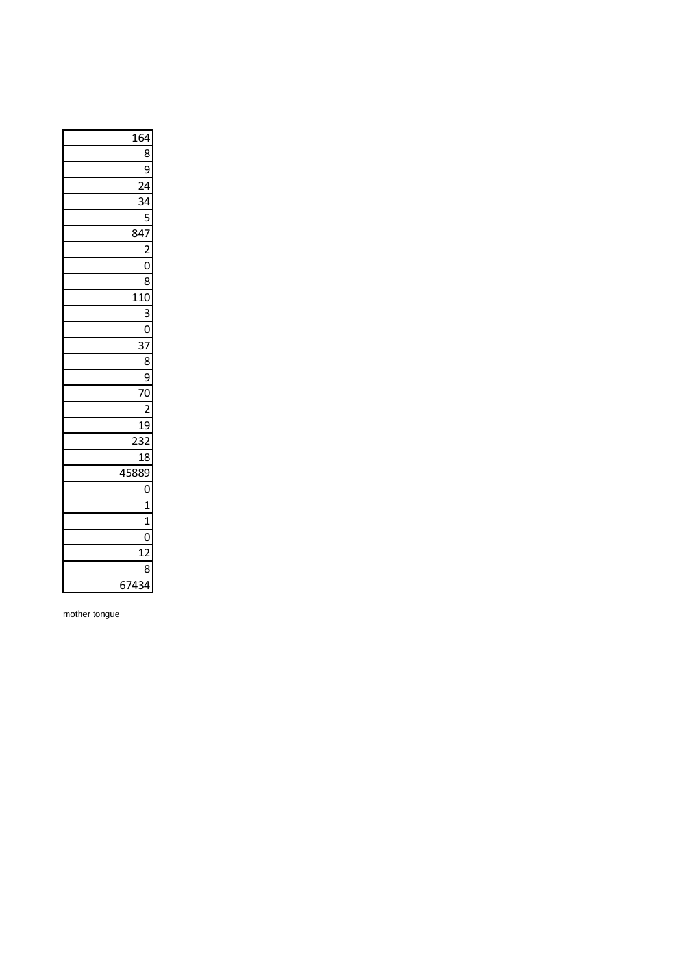| 164                     |
|-------------------------|
| 8                       |
| 9                       |
| $\overline{24}$         |
| 34                      |
| $\overline{\mathbf{5}}$ |
| 847                     |
| $\overline{\mathbf{c}}$ |
| $\overline{0}$          |
| 8                       |
| $\overline{110}$        |
| 3                       |
| 0                       |
| 37                      |
| 8                       |
| 9                       |
| $\frac{1}{70}$          |
| $\overline{c}$          |
| 19                      |
| 232                     |
| 18                      |
| —<br>45889              |
| 0                       |
| $\mathbf{1}$            |
| $\mathbf{1}$            |
| 0                       |
| 12                      |
| 8                       |
| 67434                   |

mother tongue